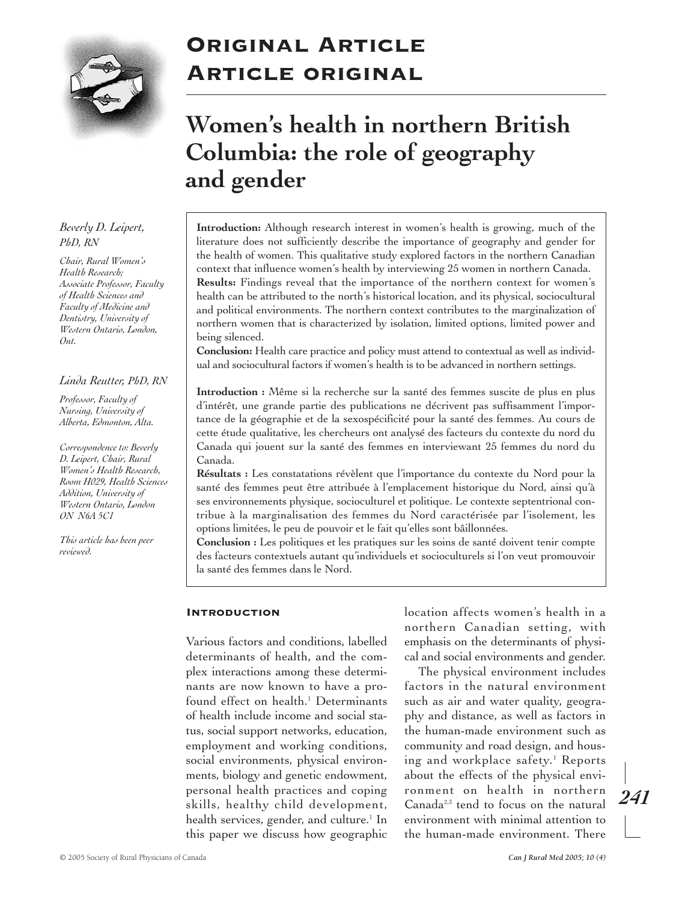

## Original Article Article original

# **Women's health in northern British Columbia: the role of geography and gender**

**Introduction:** Although research interest in women's health is growing, much of the literature does not sufficiently describe the importance of geography and gender for the health of women. This qualitative study explored factors in the northern Canadian context that influence women's health by interviewing 25 women in northern Canada. **Results:** Findings reveal that the importance of the northern context for women's health can be attributed to the north's historical location, and its physical, sociocultural and political environments. The northern context contributes to the marginalization of northern women that is characterized by isolation, limited options, limited power and being silenced.

**Conclusion:** Health care practice and policy must attend to contextual as well as individual and sociocultural factors if women's health is to be advanced in northern settings.

**Introduction :** Même si la recherche sur la santé des femmes suscite de plus en plus d'intérêt, une grande partie des publications ne décrivent pas suffisamment l'importance de la géographie et de la sexospécificité pour la santé des femmes. Au cours de cette étude qualitative, les chercheurs ont analysé des facteurs du contexte du nord du Canada qui jouent sur la santé des femmes en interviewant 25 femmes du nord du Canada.

**Résultats :** Les constatations révèlent que l'importance du contexte du Nord pour la santé des femmes peut être attribuée à l'emplacement historique du Nord, ainsi qu'à ses environnements physique, socioculturel et politique. Le contexte septentrional contribue à la marginalisation des femmes du Nord caractérisée par l'isolement, les options limitées, le peu de pouvoir et le fait qu'elles sont bâillonnées.

**Conclusion :** Les politiques et les pratiques sur les soins de santé doivent tenir compte des facteurs contextuels autant qu'individuels et socioculturels si l'on veut promouvoir la santé des femmes dans le Nord.

#### **INTRODUCTION**

Various factors and conditions, labelled determinants of health, and the complex interactions among these determinants are now known to have a profound effect on health.<sup>1</sup> Determinants of health include income and social status, social support networks, education, employment and working conditions, social environments, physical environments, biology and genetic endowment, personal health practices and coping skills, healthy child development, health services, gender, and culture.<sup>1</sup> In this paper we discuss how geographic

location affects women's health in a northern Canadian setting, with emphasis on the determinants of physical and social environments and gender.

The physical environment includes factors in the natural environment such as air and water quality, geography and distance, as well as factors in the human-made environment such as community and road design, and housing and workplace safety.<sup>1</sup> Reports about the effects of the physical environment on health in northern Canada<sup>2,3</sup> tend to focus on the natural environment with minimal attention to the human-made environment. There

## *Beverly D. Leipert, PhD, RN*

*Chair, Rural Women's Health Research; Associate Professor, Faculty of Health Sciences and Faculty of Medicine and Dentistry, University of Western Ontario, London, Ont.* 

#### *Linda Reutter, PhD, RN*

*Professor, Faculty of Nursing, University of Alberta, Edmonton, Alta.*

*Correspondence to: Beverly D. Leipert, Chair, Rural Women's Health Research, Room H029, Health Sciences Addition, University of Western Ontario, London ON N6A 5C1*

*This article has been peer reviewed.*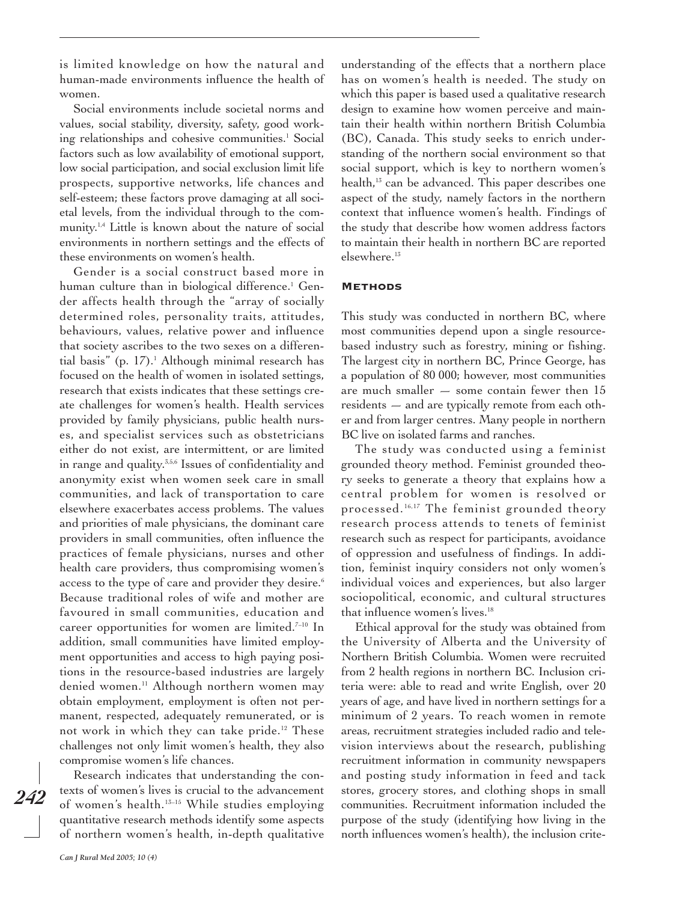is limited knowledge on how the natural and human-made environments influence the health of women.

Social environments include societal norms and values, social stability, diversity, safety, good working relationships and cohesive communities.<sup>1</sup> Social factors such as low availability of emotional support, low social participation, and social exclusion limit life prospects, supportive networks, life chances and self-esteem; these factors prove damaging at all societal levels, from the individual through to the community.1,4 Little is known about the nature of social environments in northern settings and the effects of these environments on women's health.

Gender is a social construct based more in human culture than in biological difference.<sup>1</sup> Gender affects health through the "array of socially determined roles, personality traits, attitudes, behaviours, values, relative power and influence that society ascribes to the two sexes on a differential basis" (p. 17).<sup>1</sup> Although minimal research has focused on the health of women in isolated settings, research that exists indicates that these settings create challenges for women's health. Health services provided by family physicians, public health nurses, and specialist services such as obstetricians either do not exist, are intermittent, or are limited in range and quality.<sup>3,5,6</sup> Issues of confidentiality and anonymity exist when women seek care in small communities, and lack of transportation to care elsewhere exacerbates access problems. The values and priorities of male physicians, the dominant care providers in small communities, often influence the practices of female physicians, nurses and other health care providers, thus compromising women's access to the type of care and provider they desire.<sup>6</sup> Because traditional roles of wife and mother are favoured in small communities, education and career opportunities for women are limited.<sup>7-10</sup> In addition, small communities have limited employment opportunities and access to high paying positions in the resource-based industries are largely denied women.<sup>11</sup> Although northern women may obtain employment, employment is often not permanent, respected, adequately remunerated, or is not work in which they can take pride.<sup>12</sup> These challenges not only limit women's health, they also compromise women's life chances.

Research indicates that understanding the contexts of women's lives is crucial to the advancement of women's health.13–15 While studies employing quantitative research methods identify some aspects of northern women's health, in-depth qualitative

*242*

understanding of the effects that a northern place has on women's health is needed. The study on which this paper is based used a qualitative research design to examine how women perceive and maintain their health within northern British Columbia (BC), Canada. This study seeks to enrich understanding of the northern social environment so that social support, which is key to northern women's health,<sup>13</sup> can be advanced. This paper describes one aspect of the study, namely factors in the northern context that influence women's health. Findings of the study that describe how women address factors to maintain their health in northern BC are reported elsewhere.<sup>13</sup>

#### **METHODS**

This study was conducted in northern BC, where most communities depend upon a single resourcebased industry such as forestry, mining or fishing. The largest city in northern BC, Prince George, has a population of 80 000; however, most communities are much smaller  $-$  some contain fewer then 15 residents — and are typically remote from each other and from larger centres. Many people in northern BC live on isolated farms and ranches.

The study was conducted using a feminist grounded theory method. Feminist grounded theory seeks to generate a theory that explains how a central problem for women is resolved or processed. 16,17 The feminist grounded theory research process attends to tenets of feminist research such as respect for participants, avoidance of oppression and usefulness of findings. In addition, feminist inquiry considers not only women's individual voices and experiences, but also larger sociopolitical, economic, and cultural structures that influence women's lives.<sup>18</sup>

Ethical approval for the study was obtained from the University of Alberta and the University of Northern British Columbia. Women were recruited from 2 health regions in northern BC. Inclusion criteria were: able to read and write English, over 20 years of age, and have lived in northern settings for a minimum of 2 years. To reach women in remote areas, recruitment strategies included radio and television interviews about the research, publishing recruitment information in community newspapers and posting study information in feed and tack stores, grocery stores, and clothing shops in small communities. Recruitment information included the purpose of the study (identifying how living in the north influences women's health), the inclusion crite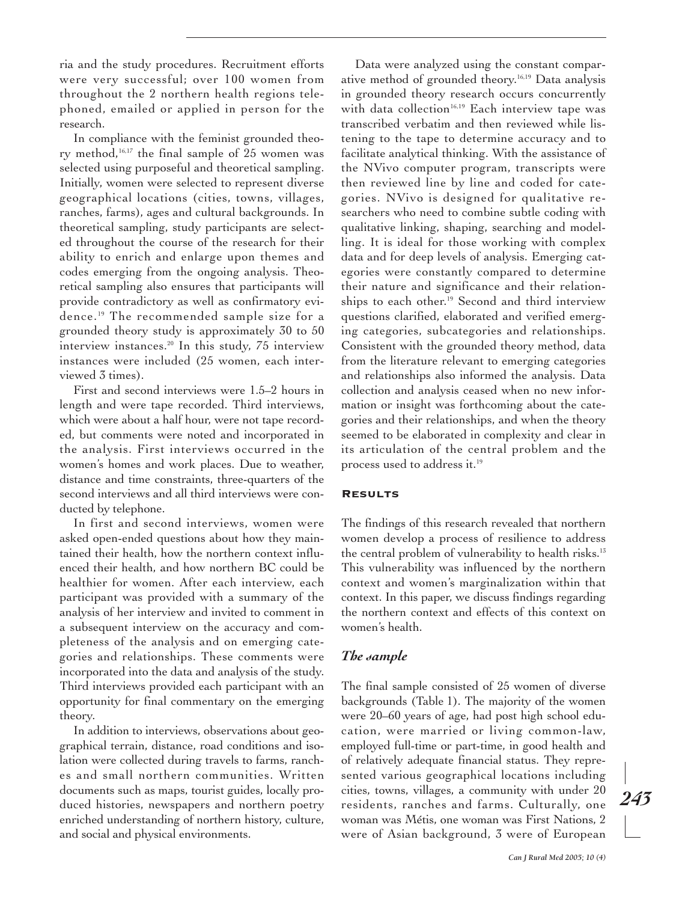ria and the study procedures. Recruitment efforts were very successful; over 100 women from throughout the 2 northern health regions telephoned, emailed or applied in person for the research.

In compliance with the feminist grounded theory method,<sup>16,17</sup> the final sample of 25 women was selected using purposeful and theoretical sampling. Initially, women were selected to represent diverse geographical locations (cities, towns, villages, ranches, farms), ages and cultural backgrounds. In theoretical sampling, study participants are selected throughout the course of the research for their ability to enrich and enlarge upon themes and codes emerging from the ongoing analysis. Theoretical sampling also ensures that participants will provide contradictory as well as confirmatory evidence. <sup>19</sup> The recommended sample size for a grounded theory study is approximately 30 to 50 interview instances.<sup>20</sup> In this study, 75 interview instances were included (25 women, each interviewed 3 times).

First and second interviews were 1.5–2 hours in length and were tape recorded. Third interviews, which were about a half hour, were not tape recorded, but comments were noted and incorporated in the analysis. First interviews occurred in the women's homes and work places. Due to weather, distance and time constraints, three-quarters of the second interviews and all third interviews were conducted by telephone.

In first and second interviews, women were asked open-ended questions about how they maintained their health, how the northern context influenced their health, and how northern BC could be healthier for women. After each interview, each participant was provided with a summary of the analysis of her interview and invited to comment in a subsequent interview on the accuracy and completeness of the analysis and on emerging categories and relationships. These comments were incorporated into the data and analysis of the study. Third interviews provided each participant with an opportunity for final commentary on the emerging theory.

In addition to interviews, observations about geographical terrain, distance, road conditions and isolation were collected during travels to farms, ranches and small northern communities. Written documents such as maps, tourist guides, locally produced histories, newspapers and northern poetry enriched understanding of northern history, culture, and social and physical environments.

Data were analyzed using the constant comparative method of grounded theory.16,19 Data analysis in grounded theory research occurs concurrently with data collection<sup>16,19</sup> Each interview tape was transcribed verbatim and then reviewed while listening to the tape to determine accuracy and to facilitate analytical thinking. With the assistance of the NVivo computer program, transcripts were then reviewed line by line and coded for categories. NVivo is designed for qualitative researchers who need to combine subtle coding with qualitative linking, shaping, searching and modelling. It is ideal for those working with complex data and for deep levels of analysis. Emerging categories were constantly compared to determine their nature and significance and their relationships to each other.<sup>19</sup> Second and third interview questions clarified, elaborated and verified emerging categories, subcategories and relationships. Consistent with the grounded theory method, data from the literature relevant to emerging categories and relationships also informed the analysis. Data collection and analysis ceased when no new information or insight was forthcoming about the categories and their relationships, and when the theory seemed to be elaborated in complexity and clear in its articulation of the central problem and the process used to address it.<sup>19</sup>

### **RESULTS**

The findings of this research revealed that northern women develop a process of resilience to address the central problem of vulnerability to health risks.<sup>13</sup> This vulnerability was influenced by the northern context and women's marginalization within that context. In this paper, we discuss findings regarding the northern context and effects of this context on women's health.

#### *The sample*

The final sample consisted of 25 women of diverse backgrounds (Table 1). The majority of the women were 20–60 years of age, had post high school education, were married or living common-law, employed full-time or part-time, in good health and of relatively adequate financial status. They represented various geographical locations including cities, towns, villages, a community with under 20 residents, ranches and farms. Culturally, one woman was Métis, one woman was First Nations, 2 were of Asian background, 3 were of European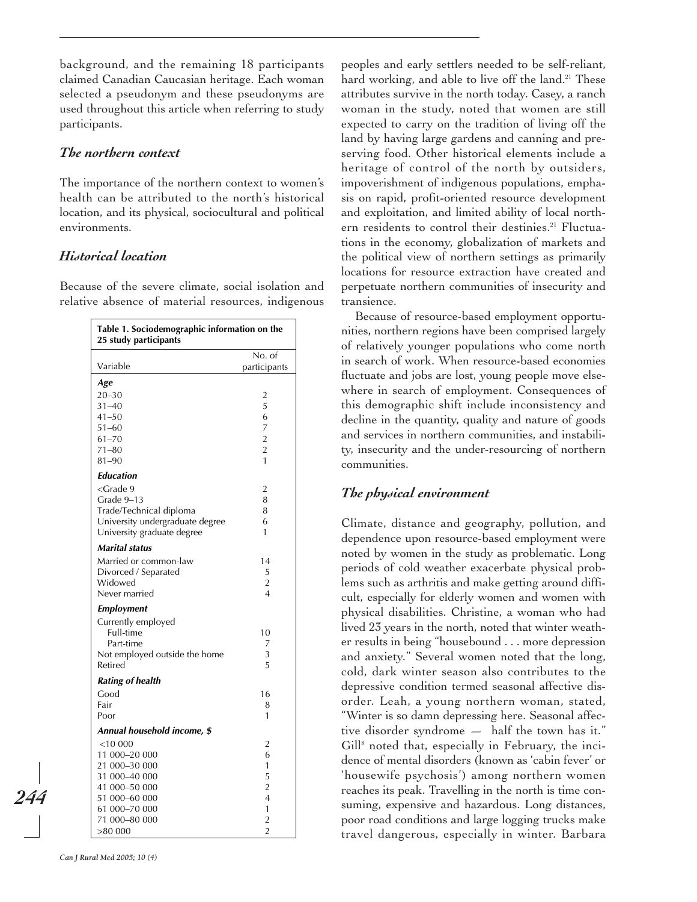background, and the remaining 18 participants claimed Canadian Caucasian heritage. Each woman selected a pseudonym and these pseudonyms are used throughout this article when referring to study participants.

## *The northern context*

The importance of the northern context to women's health can be attributed to the north's historical location, and its physical, sociocultural and political environments.

## *Historical location*

Because of the severe climate, social isolation and relative absence of material resources, indigenous

| Table 1. Sociodemographic information on the<br>25 study participants |                     |
|-----------------------------------------------------------------------|---------------------|
|                                                                       | No. of              |
| Variable                                                              | participants        |
| Age                                                                   |                     |
| $20 - 30$                                                             | 2                   |
| $31 - 40$                                                             | 5                   |
| $41 - 50$                                                             | 6                   |
| $51 - 60$                                                             | 7                   |
| $61 - 70$                                                             | $\overline{2}$      |
| $71 - 80$                                                             | $\overline{2}$<br>1 |
| $81 - 90$                                                             |                     |
| Education                                                             |                     |
| $<$ Grade 9                                                           | 2                   |
| Grade 9-13                                                            | 8                   |
| Trade/Technical diploma                                               | 8<br>6              |
| University undergraduate degree<br>University graduate degree         | 1                   |
| <b>Marital status</b>                                                 |                     |
| Married or common-law                                                 | 14                  |
| Divorced / Separated                                                  | 5                   |
| Widowed                                                               | 2                   |
| Never married                                                         | $\overline{4}$      |
| <b>Employment</b>                                                     |                     |
| Currently employed                                                    |                     |
| Full-time                                                             | 10                  |
| Part-time                                                             | 7                   |
| Not employed outside the home                                         | 3                   |
| Retired                                                               | 5                   |
| <b>Rating of health</b>                                               |                     |
| Good                                                                  | 16                  |
| Fair                                                                  | 8                   |
| Poor                                                                  | 1                   |
| Annual household income, \$                                           |                     |
| $<$ 10 000                                                            | $\overline{2}$      |
| 11 000-20 000                                                         | 6                   |
| 21 000-30 000<br>31 000-40 000                                        | 1<br>5              |
| 41 000-50 000                                                         | $\overline{2}$      |
| 51 000-60 000                                                         | $\overline{4}$      |
| 61 000-70 000                                                         | 1                   |
| 71 000-80 000                                                         | $\overline{2}$      |
| >80 000                                                               | $\overline{2}$      |

peoples and early settlers needed to be self-reliant, hard working, and able to live off the land.<sup>21</sup> These attributes survive in the north today. Casey, a ranch woman in the study, noted that women are still expected to carry on the tradition of living off the land by having large gardens and canning and preserving food. Other historical elements include a heritage of control of the north by outsiders, impoverishment of indigenous populations, emphasis on rapid, profit-oriented resource development and exploitation, and limited ability of local northern residents to control their destinies.<sup>21</sup> Fluctuations in the economy, globalization of markets and the political view of northern settings as primarily locations for resource extraction have created and perpetuate northern communities of insecurity and transience.

Because of resource-based employment opportunities, northern regions have been comprised largely of relatively younger populations who come north in search of work. When resource-based economies fluctuate and jobs are lost, young people move elsewhere in search of employment. Consequences of this demographic shift include inconsistency and decline in the quantity, quality and nature of goods and services in northern communities, and instability, insecurity and the under-resourcing of northern communities.

## *The physical environment*

Climate, distance and geography, pollution, and dependence upon resource-based employment were noted by women in the study as problematic. Long periods of cold weather exacerbate physical problems such as arthritis and make getting around difficult, especially for elderly women and women with physical disabilities. Christine, a woman who had lived 23 years in the north, noted that winter weather results in being "housebound . . . more depression and anxiety." Several women noted that the long, cold, dark winter season also contributes to the depressive condition termed seasonal affective disorder. Leah, a young northern woman, stated, "Winter is so damn depressing here. Seasonal affective disorder syndrome — half the town has it." Gill<sup>8</sup> noted that, especially in February, the incidence of mental disorders (known as 'cabin fever' or 'housewife psychosis') among northern women reaches its peak. Travelling in the north is time consuming, expensive and hazardous. Long distances, poor road conditions and large logging trucks make travel dangerous, especially in winter. Barbara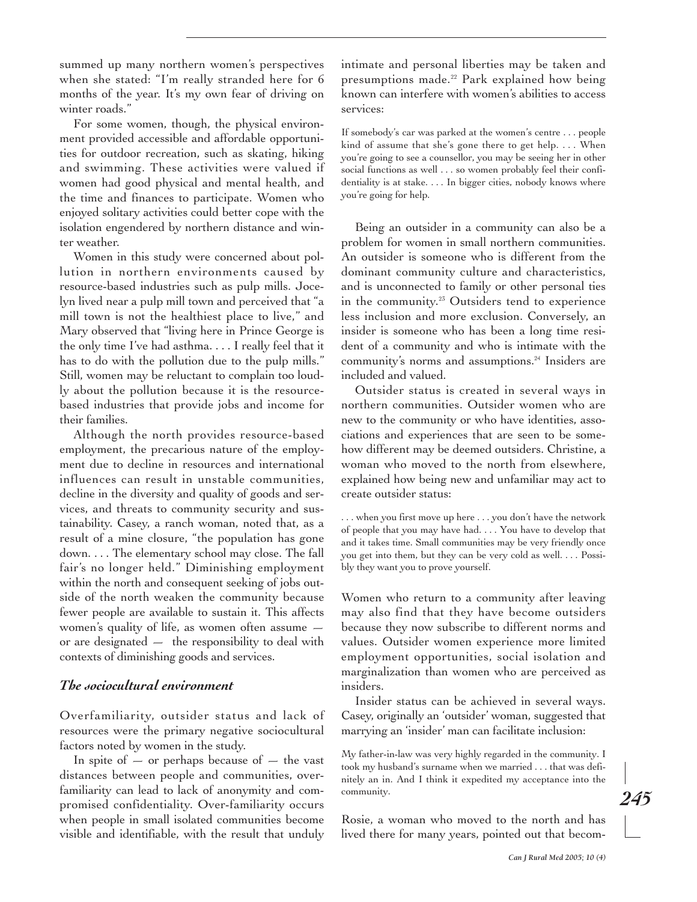summed up many northern women's perspectives when she stated: "I'm really stranded here for 6 months of the year. It's my own fear of driving on winter roads."

For some women, though, the physical environment provided accessible and affordable opportunities for outdoor recreation, such as skating, hiking and swimming. These activities were valued if women had good physical and mental health, and the time and finances to participate. Women who enjoyed solitary activities could better cope with the isolation engendered by northern distance and winter weather.

Women in this study were concerned about pollution in northern environments caused by resource-based industries such as pulp mills. Jocelyn lived near a pulp mill town and perceived that "a mill town is not the healthiest place to live," and Mary observed that "living here in Prince George is the only time I've had asthma. . . . I really feel that it has to do with the pollution due to the pulp mills." Still, women may be reluctant to complain too loudly about the pollution because it is the resourcebased industries that provide jobs and income for their families.

Although the north provides resource-based employment, the precarious nature of the employment due to decline in resources and international influences can result in unstable communities, decline in the diversity and quality of goods and services, and threats to community security and sustainability. Casey, a ranch woman, noted that, as a result of a mine closure, "the population has gone down. . . . The elementary school may close. The fall fair's no longer held." Diminishing employment within the north and consequent seeking of jobs outside of the north weaken the community because fewer people are available to sustain it. This affects women's quality of life, as women often assume or are designated  $-$  the responsibility to deal with contexts of diminishing goods and services.

## *The sociocultural environment*

Overfamiliarity, outsider status and lack of resources were the primary negative sociocultural factors noted by women in the study.

In spite of  $-$  or perhaps because of  $-$  the vast distances between people and communities, overfamiliarity can lead to lack of anonymity and compromised confidentiality. Over-familiarity occurs when people in small isolated communities become visible and identifiable, with the result that unduly intimate and personal liberties may be taken and presumptions made.<sup>22</sup> Park explained how being known can interfere with women's abilities to access services:

If somebody's car was parked at the women's centre . . . people kind of assume that she's gone there to get help. . . . When you're going to see a counsellor, you may be seeing her in other social functions as well . . . so women probably feel their confidentiality is at stake. . . . In bigger cities, nobody knows where you're going for help.

Being an outsider in a community can also be a problem for women in small northern communities. An outsider is someone who is different from the dominant community culture and characteristics, and is unconnected to family or other personal ties in the community.<sup>23</sup> Outsiders tend to experience less inclusion and more exclusion. Conversely, an insider is someone who has been a long time resident of a community and who is intimate with the community's norms and assumptions.<sup>24</sup> Insiders are included and valued.

Outsider status is created in several ways in northern communities. Outsider women who are new to the community or who have identities, associations and experiences that are seen to be somehow different may be deemed outsiders. Christine, a woman who moved to the north from elsewhere, explained how being new and unfamiliar may act to create outsider status:

Women who return to a community after leaving may also find that they have become outsiders because they now subscribe to different norms and values. Outsider women experience more limited employment opportunities, social isolation and marginalization than women who are perceived as insiders.

Insider status can be achieved in several ways. Casey, originally an 'outsider' woman, suggested that marrying an 'insider' man can facilitate inclusion:

My father-in-law was very highly regarded in the community. I took my husband's surname when we married . . . that was definitely an in. And I think it expedited my acceptance into the community.

Rosie, a woman who moved to the north and has lived there for many years, pointed out that becom-

<sup>. . .</sup> when you first move up here . . . you don't have the network of people that you may have had. . . . You have to develop that and it takes time. Small communities may be very friendly once you get into them, but they can be very cold as well. . . . Possibly they want you to prove yourself.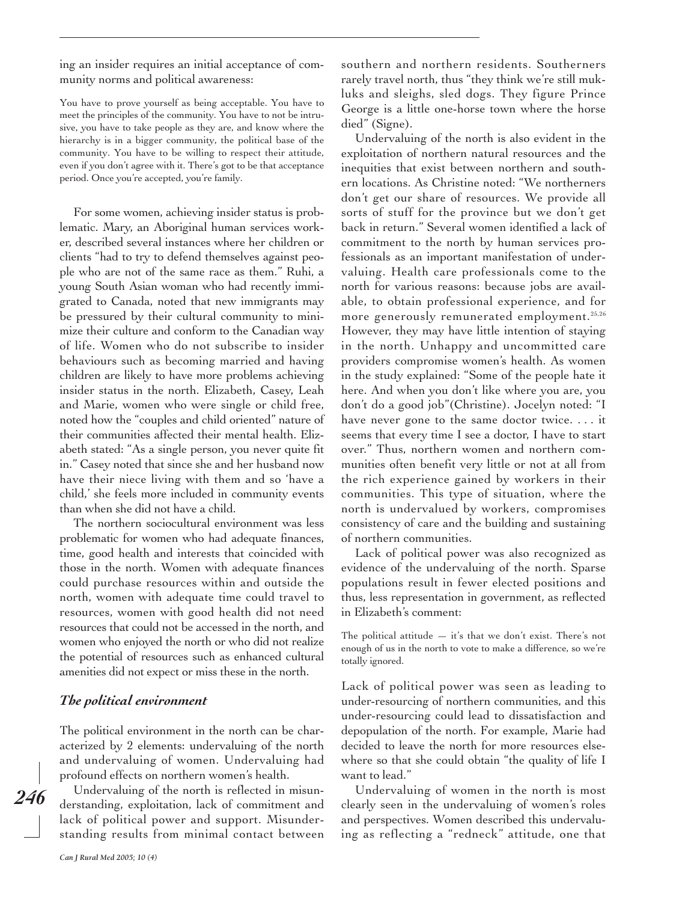ing an insider requires an initial acceptance of community norms and political awareness:

You have to prove yourself as being acceptable. You have to meet the principles of the community. You have to not be intrusive, you have to take people as they are, and know where the hierarchy is in a bigger community, the political base of the community. You have to be willing to respect their attitude, even if you don't agree with it. There's got to be that acceptance period. Once you're accepted, you're family.

For some women, achieving insider status is problematic. Mary, an Aboriginal human services worker, described several instances where her children or clients "had to try to defend themselves against people who are not of the same race as them." Ruhi, a young South Asian woman who had recently immigrated to Canada, noted that new immigrants may be pressured by their cultural community to minimize their culture and conform to the Canadian way of life. Women who do not subscribe to insider behaviours such as becoming married and having children are likely to have more problems achieving insider status in the north. Elizabeth, Casey, Leah and Marie, women who were single or child free, noted how the "couples and child oriented" nature of their communities affected their mental health. Elizabeth stated: "As a single person, you never quite fit in." Casey noted that since she and her husband now have their niece living with them and so 'have a child,' she feels more included in community events than when she did not have a child.

The northern sociocultural environment was less problematic for women who had adequate finances, time, good health and interests that coincided with those in the north. Women with adequate finances could purchase resources within and outside the north, women with adequate time could travel to resources, women with good health did not need resources that could not be accessed in the north, and women who enjoyed the north or who did not realize the potential of resources such as enhanced cultural amenities did not expect or miss these in the north.

#### *The political environment*

The political environment in the north can be characterized by 2 elements: undervaluing of the north and undervaluing of women. Undervaluing had profound effects on northern women's health.

Undervaluing of the north is reflected in misunderstanding, exploitation, lack of commitment and lack of political power and support. Misunderstanding results from minimal contact between southern and northern residents. Southerners rarely travel north, thus "they think we're still mukluks and sleighs, sled dogs. They figure Prince George is a little one-horse town where the horse died" (Signe).

Undervaluing of the north is also evident in the exploitation of northern natural resources and the inequities that exist between northern and southern locations. As Christine noted: "We northerners don't get our share of resources. We provide all sorts of stuff for the province but we don't get back in return." Several women identified a lack of commitment to the north by human services professionals as an important manifestation of undervaluing. Health care professionals come to the north for various reasons: because jobs are available, to obtain professional experience, and for more generously remunerated employment.25,26 However, they may have little intention of staying in the north. Unhappy and uncommitted care providers compromise women's health. As women in the study explained: "Some of the people hate it here. And when you don't like where you are, you don't do a good job"(Christine). Jocelyn noted: "I have never gone to the same doctor twice. . . . it seems that every time I see a doctor, I have to start over." Thus, northern women and northern communities often benefit very little or not at all from the rich experience gained by workers in their communities. This type of situation, where the north is undervalued by workers, compromises consistency of care and the building and sustaining of northern communities.

Lack of political power was also recognized as evidence of the undervaluing of the north. Sparse populations result in fewer elected positions and thus, less representation in government, as reflected in Elizabeth's comment:

The political attitude  $-$  it's that we don't exist. There's not enough of us in the north to vote to make a difference, so we're totally ignored.

Lack of political power was seen as leading to under-resourcing of northern communities, and this under-resourcing could lead to dissatisfaction and depopulation of the north. For example, Marie had decided to leave the north for more resources elsewhere so that she could obtain "the quality of life I want to lead."

Undervaluing of women in the north is most clearly seen in the undervaluing of women's roles and perspectives. Women described this undervaluing as reflecting a "redneck" attitude, one that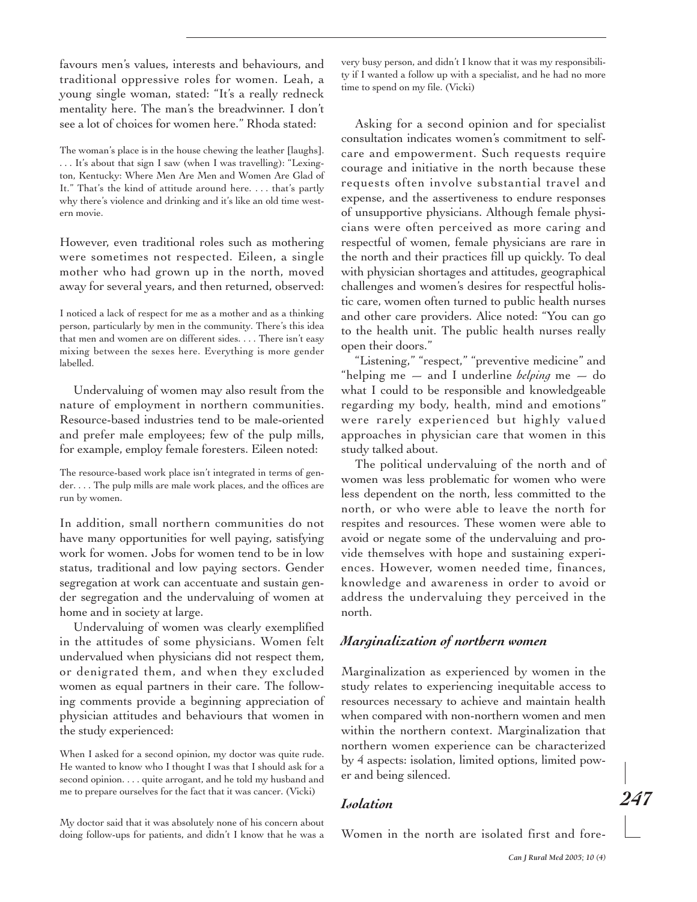favours men's values, interests and behaviours, and traditional oppressive roles for women. Leah, a young single woman, stated: "It's a really redneck mentality here. The man's the breadwinner. I don't see a lot of choices for women here." Rhoda stated:

The woman's place is in the house chewing the leather [laughs]. . . . It's about that sign I saw (when I was travelling): "Lexington, Kentucky: Where Men Are Men and Women Are Glad of It." That's the kind of attitude around here. . . . that's partly why there's violence and drinking and it's like an old time western movie.

However, even traditional roles such as mothering were sometimes not respected. Eileen, a single mother who had grown up in the north, moved away for several years, and then returned, observed:

I noticed a lack of respect for me as a mother and as a thinking person, particularly by men in the community. There's this idea that men and women are on different sides. . . . There isn't easy mixing between the sexes here. Everything is more gender labelled.

Undervaluing of women may also result from the nature of employment in northern communities. Resource-based industries tend to be male-oriented and prefer male employees; few of the pulp mills, for example, employ female foresters. Eileen noted:

The resource-based work place isn't integrated in terms of gender. . . . The pulp mills are male work places, and the offices are run by women.

In addition, small northern communities do not have many opportunities for well paying, satisfying work for women. Jobs for women tend to be in low status, traditional and low paying sectors. Gender segregation at work can accentuate and sustain gender segregation and the undervaluing of women at home and in society at large.

Undervaluing of women was clearly exemplified in the attitudes of some physicians. Women felt undervalued when physicians did not respect them, or denigrated them, and when they excluded women as equal partners in their care. The following comments provide a beginning appreciation of physician attitudes and behaviours that women in the study experienced:

When I asked for a second opinion, my doctor was quite rude. He wanted to know who I thought I was that I should ask for a second opinion. . . . quite arrogant, and he told my husband and me to prepare ourselves for the fact that it was cancer. (Vicki)

My doctor said that it was absolutely none of his concern about doing follow-ups for patients, and didn't I know that he was a very busy person, and didn't I know that it was my responsibility if I wanted a follow up with a specialist, and he had no more time to spend on my file. (Vicki)

Asking for a second opinion and for specialist consultation indicates women's commitment to selfcare and empowerment. Such requests require courage and initiative in the north because these requests often involve substantial travel and expense, and the assertiveness to endure responses of unsupportive physicians. Although female physicians were often perceived as more caring and respectful of women, female physicians are rare in the north and their practices fill up quickly. To deal with physician shortages and attitudes, geographical challenges and women's desires for respectful holistic care, women often turned to public health nurses and other care providers. Alice noted: "You can go to the health unit. The public health nurses really open their doors."

"Listening," "respect," "preventive medicine" and "helping me — and I underline *helping* me — do what I could to be responsible and knowledgeable regarding my body, health, mind and emotions" were rarely experienced but highly valued approaches in physician care that women in this study talked about.

The political undervaluing of the north and of women was less problematic for women who were less dependent on the north, less committed to the north, or who were able to leave the north for respites and resources. These women were able to avoid or negate some of the undervaluing and provide themselves with hope and sustaining experiences. However, women needed time, finances, knowledge and awareness in order to avoid or address the undervaluing they perceived in the north.

## *Marginalization of northern women*

Marginalization as experienced by women in the study relates to experiencing inequitable access to resources necessary to achieve and maintain health when compared with non-northern women and men within the northern context. Marginalization that northern women experience can be characterized by 4 aspects: isolation, limited options, limited power and being silenced.

### *Isolation*

Women in the north are isolated first and fore-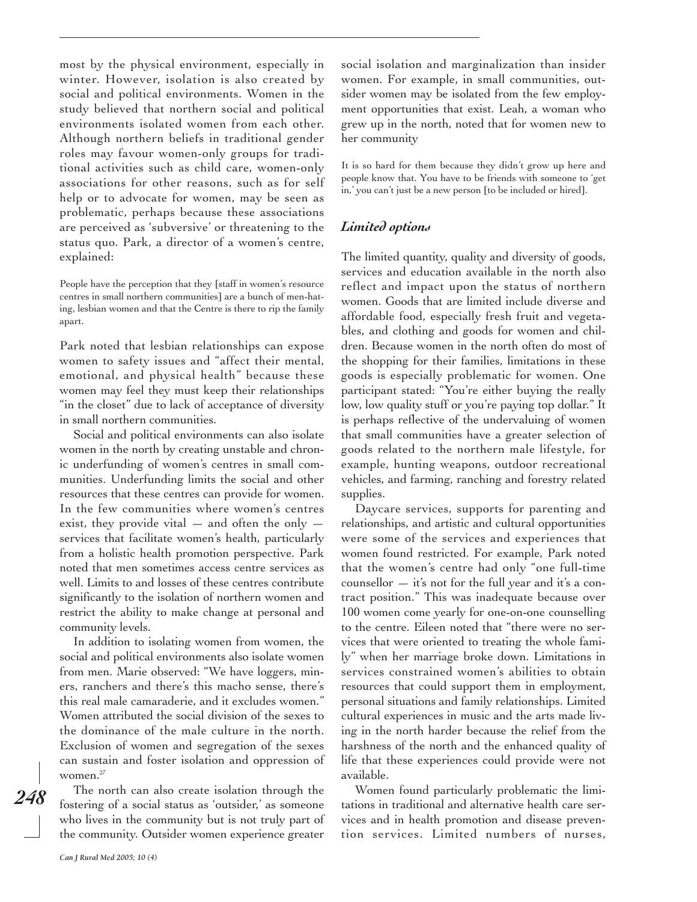most by the physical environment, especially in winter. However, isolation is also created by social and political environments. Women in the study believed that northern social and political environments isolated women from each other. Although northern beliefs in traditional gender roles may favour women-only groups for traditional activities such as child care, women-only associations for other reasons, such as for self help or to advocate for women, may be seen as problematic, perhaps because these associations are perceived as 'subversive' or threatening to the status quo. Park, a director of a women's centre, explained:

People have the perception that they [staff in women's resource centres in small northern communities] are a bunch of men-hating, lesbian women and that the Centre is there to rip the family apart.

Park noted that lesbian relationships can expose women to safety issues and "affect their mental, emotional, and physical health" because these women may feel they must keep their relationships "in the closet" due to lack of acceptance of diversity in small northern communities.

Social and political environments can also isolate women in the north by creating unstable and chronic underfunding of women's centres in small communities. Underfunding limits the social and other resources that these centres can provide for women. In the few communities where women's centres exist, they provide vital  $-$  and often the only  $$ services that facilitate women's health, particularly from a holistic health promotion perspective. Park noted that men sometimes access centre services as well. Limits to and losses of these centres contribute significantly to the isolation of northern women and restrict the ability to make change at personal and community levels.

In addition to isolating women from women, the social and political environments also isolate women from men. Marie observed: "We have loggers, miners, ranchers and there's this macho sense, there's this real male camaraderie, and it excludes women." Women attributed the social division of the sexes to the dominance of the male culture in the north. Exclusion of women and segregation of the sexes can sustain and foster isolation and oppression of women.<sup>27</sup>

The north can also create isolation through the fostering of a social status as 'outsider,' as someone who lives in the community but is not truly part of the community. Outsider women experience greater social isolation and marginalization than insider women. For example, in small communities, outsider women may be isolated from the few employment opportunities that exist. Leah, a woman who grew up in the north, noted that for women new to her community

It is so hard for them because they didn't grow up here and people know that. You have to be friends with someone to 'get in,' you can't just be a new person [to be included or hired].

## *Limited options*

The limited quantity, quality and diversity of goods, services and education available in the north also reflect and impact upon the status of northern women. Goods that are limited include diverse and affordable food, especially fresh fruit and vegetables, and clothing and goods for women and children. Because women in the north often do most of the shopping for their families, limitations in these goods is especially problematic for women. One participant stated: "You're either buying the really low, low quality stuff or you're paying top dollar." It is perhaps reflective of the undervaluing of women that small communities have a greater selection of goods related to the northern male lifestyle, for example, hunting weapons, outdoor recreational vehicles, and farming, ranching and forestry related supplies.

Daycare services, supports for parenting and relationships, and artistic and cultural opportunities were some of the services and experiences that women found restricted. For example, Park noted that the women's centre had only "one full-time counsellor  $-$  it's not for the full year and it's a contract position." This was inadequate because over 100 women come yearly for one-on-one counselling to the centre. Eileen noted that "there were no services that were oriented to treating the whole family" when her marriage broke down. Limitations in services constrained women's abilities to obtain resources that could support them in employment, personal situations and family relationships. Limited cultural experiences in music and the arts made living in the north harder because the relief from the harshness of the north and the enhanced quality of life that these experiences could provide were not available.

Women found particularly problematic the limitations in traditional and alternative health care services and in health promotion and disease prevention services. Limited numbers of nurses,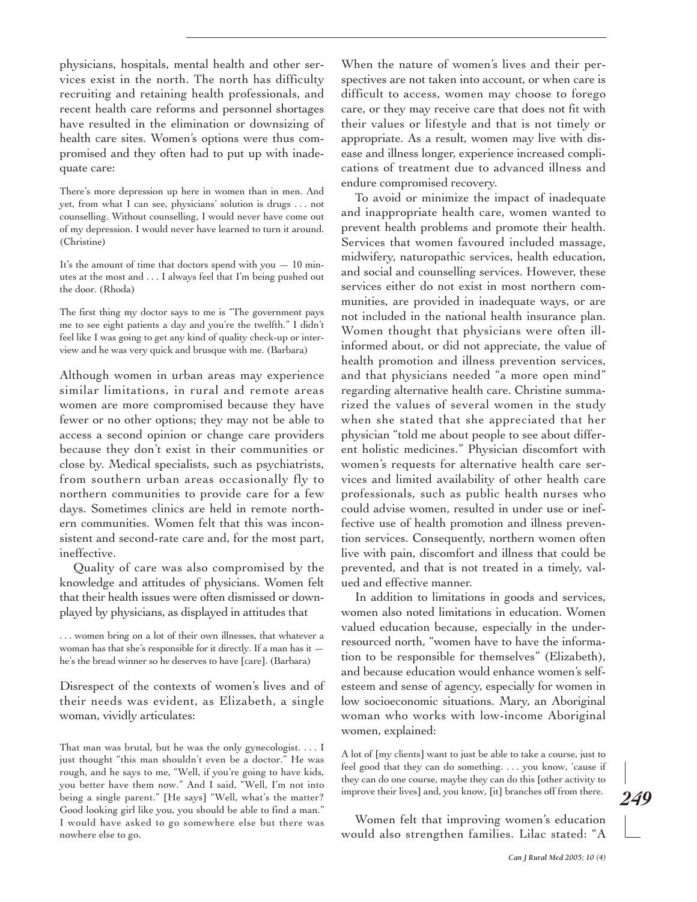physicians, hospitals, mental health and other services exist in the north. The north has difficulty recruiting and retaining health professionals, and recent health care reforms and personnel shortages have resulted in the elimination or downsizing of health care sites. Women's options were thus compromised and they often had to put up with inadequate care:

There's more depression up here in women than in men. And yet, from what I can see, physicians' solution is drugs . . . not counselling. Without counselling, I would never have come out of my depression. I would never have learned to turn it around. (Christine)

It's the amount of time that doctors spend with you  $-10$  minutes at the most and . . . I always feel that I'm being pushed out the door. (Rhoda)

The first thing my doctor says to me is "The government pays me to see eight patients a day and you're the twelfth." I didn't feel like I was going to get any kind of quality check-up or interview and he was very quick and brusque with me. (Barbara)

Although women in urban areas may experience similar limitations, in rural and remote areas women are more compromised because they have fewer or no other options; they may not be able to access a second opinion or change care providers because they don't exist in their communities or close by. Medical specialists, such as psychiatrists, from southern urban areas occasionally fly to northern communities to provide care for a few days. Sometimes clinics are held in remote northern communities. Women felt that this was inconsistent and second-rate care and, for the most part, ineffective.

Quality of care was also compromised by the knowledge and attitudes of physicians. Women felt that their health issues were often dismissed or downplayed by physicians, as displayed in attitudes that

Disrespect of the contexts of women's lives and of their needs was evident, as Elizabeth, a single woman, vividly articulates:

That man was brutal, but he was the only gynecologist. . . . I just thought "this man shouldn't even be a doctor." He was rough, and he says to me, "Well, if you're going to have kids, you better have them now." And I said, "Well, I'm not into being a single parent." [He says] "Well, what's the matter? Good looking girl like you, you should be able to find a man." I would have asked to go somewhere else but there was nowhere else to go.

When the nature of women's lives and their perspectives are not taken into account, or when care is difficult to access, women may choose to forego care, or they may receive care that does not fit with their values or lifestyle and that is not timely or appropriate. As a result, women may live with disease and illness longer, experience increased complications of treatment due to advanced illness and endure compromised recovery.

To avoid or minimize the impact of inadequate and inappropriate health care, women wanted to prevent health problems and promote their health. Services that women favoured included massage, midwifery, naturopathic services, health education, and social and counselling services. However, these services either do not exist in most northern communities, are provided in inadequate ways, or are not included in the national health insurance plan. Women thought that physicians were often illinformed about, or did not appreciate, the value of health promotion and illness prevention services, and that physicians needed "a more open mind" regarding alternative health care. Christine summarized the values of several women in the study when she stated that she appreciated that her physician "told me about people to see about different holistic medicines." Physician discomfort with women's requests for alternative health care services and limited availability of other health care professionals, such as public health nurses who could advise women, resulted in under use or ineffective use of health promotion and illness prevention services. Consequently, northern women often live with pain, discomfort and illness that could be prevented, and that is not treated in a timely, valued and effective manner.

In addition to limitations in goods and services, women also noted limitations in education. Women valued education because, especially in the underresourced north, "women have to have the information to be responsible for themselves" (Elizabeth), and because education would enhance women's selfesteem and sense of agency, especially for women in low socioeconomic situations. Mary, an Aboriginal woman who works with low-income Aboriginal women, explained:

A lot of [my clients] want to just be able to take a course, just to feel good that they can do something. . . . you know, 'cause if they can do one course, maybe they can do this [other activity to improve their lives] and, you know, [it] branches off from there.

Women felt that improving women's education would also strengthen families. Lilac stated: "A

<sup>. . .</sup> women bring on a lot of their own illnesses, that whatever a woman has that she's responsible for it directly. If a man has it he's the bread winner so he deserves to have [care]. (Barbara)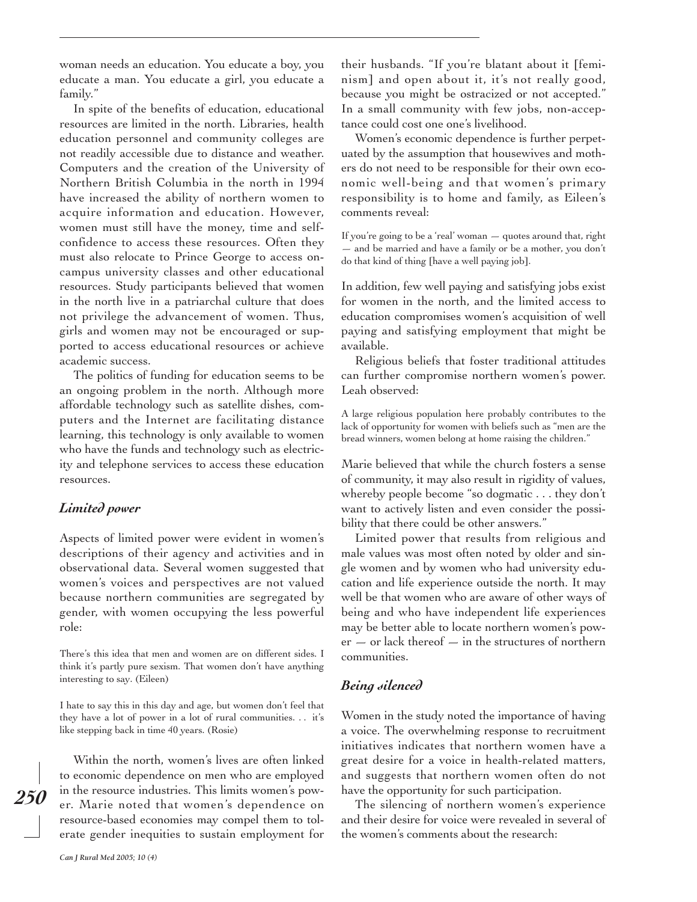woman needs an education. You educate a boy, you educate a man. You educate a girl, you educate a family."

In spite of the benefits of education, educational resources are limited in the north. Libraries, health education personnel and community colleges are not readily accessible due to distance and weather. Computers and the creation of the University of Northern British Columbia in the north in 1994 have increased the ability of northern women to acquire information and education. However, women must still have the money, time and selfconfidence to access these resources. Often they must also relocate to Prince George to access oncampus university classes and other educational resources. Study participants believed that women in the north live in a patriarchal culture that does not privilege the advancement of women. Thus, girls and women may not be encouraged or supported to access educational resources or achieve academic success.

The politics of funding for education seems to be an ongoing problem in the north. Although more affordable technology such as satellite dishes, computers and the Internet are facilitating distance learning, this technology is only available to women who have the funds and technology such as electricity and telephone services to access these education resources.

#### *Limited power*

Aspects of limited power were evident in women's descriptions of their agency and activities and in observational data. Several women suggested that women's voices and perspectives are not valued because northern communities are segregated by gender, with women occupying the less powerful role:

There's this idea that men and women are on different sides. I think it's partly pure sexism. That women don't have anything interesting to say. (Eileen)

I hate to say this in this day and age, but women don't feel that they have a lot of power in a lot of rural communities. . . it's like stepping back in time 40 years. (Rosie)

Within the north, women's lives are often linked to economic dependence on men who are employed in the resource industries. This limits women's power. Marie noted that women's dependence on resource-based economies may compel them to tolerate gender inequities to sustain employment for their husbands. "If you're blatant about it [feminism] and open about it, it's not really good, because you might be ostracized or not accepted." In a small community with few jobs, non-acceptance could cost one one's livelihood.

Women's economic dependence is further perpetuated by the assumption that housewives and mothers do not need to be responsible for their own economic well-being and that women's primary responsibility is to home and family, as Eileen's comments reveal:

If you're going to be a 'real' woman — quotes around that, right — and be married and have a family or be a mother, you don't do that kind of thing [have a well paying job].

In addition, few well paying and satisfying jobs exist for women in the north, and the limited access to education compromises women's acquisition of well paying and satisfying employment that might be available.

Religious beliefs that foster traditional attitudes can further compromise northern women's power. Leah observed:

A large religious population here probably contributes to the lack of opportunity for women with beliefs such as "men are the bread winners, women belong at home raising the children."

Marie believed that while the church fosters a sense of community, it may also result in rigidity of values, whereby people become "so dogmatic . . . they don't want to actively listen and even consider the possibility that there could be other answers."

Limited power that results from religious and male values was most often noted by older and single women and by women who had university education and life experience outside the north. It may well be that women who are aware of other ways of being and who have independent life experiences may be better able to locate northern women's pow $er - or$  lack thereof  $-$  in the structures of northern communities.

## *Being silenced*

Women in the study noted the importance of having a voice. The overwhelming response to recruitment initiatives indicates that northern women have a great desire for a voice in health-related matters, and suggests that northern women often do not have the opportunity for such participation.

The silencing of northern women's experience and their desire for voice were revealed in several of the women's comments about the research: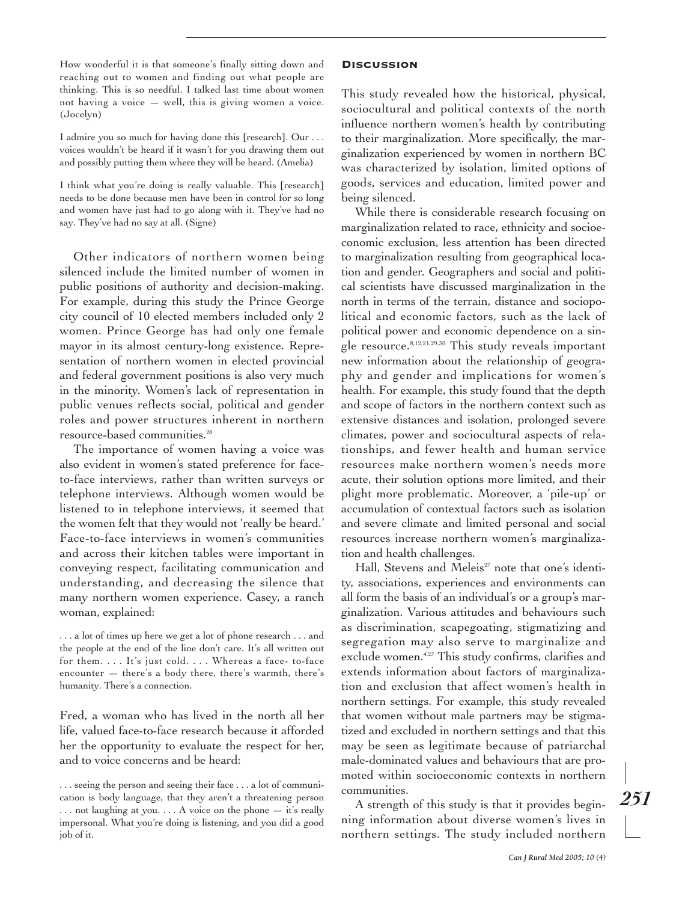How wonderful it is that someone's finally sitting down and reaching out to women and finding out what people are thinking. This is so needful. I talked last time about women not having a voice — well, this is giving women a voice. (Jocelyn)

I admire you so much for having done this [research]. Our ... voices wouldn't be heard if it wasn't for you drawing them out and possibly putting them where they will be heard. (Amelia)

I think what you're doing is really valuable. This [research] needs to be done because men have been in control for so long and women have just had to go along with it. They've had no say. They've had no say at all. (Signe)

Other indicators of northern women being silenced include the limited number of women in public positions of authority and decision-making. For example, during this study the Prince George city council of 10 elected members included only 2 women. Prince George has had only one female mayor in its almost century-long existence. Representation of northern women in elected provincial and federal government positions is also very much in the minority. Women's lack of representation in public venues reflects social, political and gender roles and power structures inherent in northern resource-based communities.<sup>28</sup>

The importance of women having a voice was also evident in women's stated preference for faceto-face interviews, rather than written surveys or telephone interviews. Although women would be listened to in telephone interviews, it seemed that the women felt that they would not 'really be heard.' Face-to-face interviews in women's communities and across their kitchen tables were important in conveying respect, facilitating communication and understanding, and decreasing the silence that many northern women experience. Casey, a ranch woman, explained:

Fred, a woman who has lived in the north all her life, valued face-to-face research because it afforded her the opportunity to evaluate the respect for her, and to voice concerns and be heard:

#### **DISCUSSION**

This study revealed how the historical, physical, sociocultural and political contexts of the north influence northern women's health by contributing to their marginalization. More specifically, the marginalization experienced by women in northern BC was characterized by isolation, limited options of goods, services and education, limited power and being silenced.

While there is considerable research focusing on marginalization related to race, ethnicity and socioeconomic exclusion, less attention has been directed to marginalization resulting from geographical location and gender. Geographers and social and political scientists have discussed marginalization in the north in terms of the terrain, distance and sociopolitical and economic factors, such as the lack of political power and economic dependence on a single resource.8,12,21,29,30 This study reveals important new information about the relationship of geography and gender and implications for women's health. For example, this study found that the depth and scope of factors in the northern context such as extensive distances and isolation, prolonged severe climates, power and sociocultural aspects of relationships, and fewer health and human service resources make northern women's needs more acute, their solution options more limited, and their plight more problematic. Moreover, a 'pile-up' or accumulation of contextual factors such as isolation and severe climate and limited personal and social resources increase northern women's marginalization and health challenges.

Hall, Stevens and Meleis<sup>27</sup> note that one's identity, associations, experiences and environments can all form the basis of an individual's or a group's marginalization. Various attitudes and behaviours such as discrimination, scapegoating, stigmatizing and segregation may also serve to marginalize and exclude women.<sup>4,27</sup> This study confirms, clarifies and extends information about factors of marginalization and exclusion that affect women's health in northern settings. For example, this study revealed that women without male partners may be stigmatized and excluded in northern settings and that this may be seen as legitimate because of patriarchal male-dominated values and behaviours that are promoted within socioeconomic contexts in northern communities.

A strength of this study is that it provides beginning information about diverse women's lives in northern settings. The study included northern

<sup>. . .</sup> a lot of times up here we get a lot of phone research . . . and the people at the end of the line don't care. It's all written out for them. . . . It's just cold. . . . Whereas a face- to-face encounter — there's a body there, there's warmth, there's humanity. There's a connection.

<sup>. . .</sup> seeing the person and seeing their face . . . a lot of communication is body language, that they aren't a threatening person ... not laughing at you.  $\ldots$  A voice on the phone  $-$  it's really impersonal. What you're doing is listening, and you did a good job of it.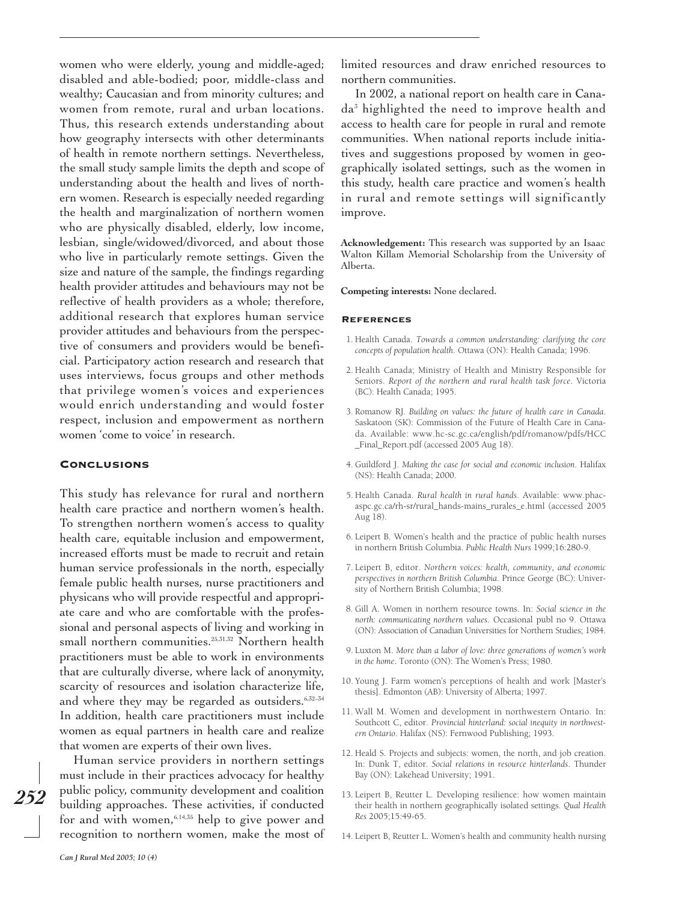women who were elderly, young and middle-aged; disabled and able-bodied; poor, middle-class and wealthy; Caucasian and from minority cultures; and women from remote, rural and urban locations. Thus, this research extends understanding about how geography intersects with other determinants of health in remote northern settings. Nevertheless, the small study sample limits the depth and scope of understanding about the health and lives of northern women. Research is especially needed regarding the health and marginalization of northern women who are physically disabled, elderly, low income, lesbian, single/widowed/divorced, and about those who live in particularly remote settings. Given the size and nature of the sample, the findings regarding health provider attitudes and behaviours may not be reflective of health providers as a whole; therefore, additional research that explores human service provider attitudes and behaviours from the perspective of consumers and providers would be beneficial. Participatory action research and research that uses interviews, focus groups and other methods that privilege women's voices and experiences would enrich understanding and would foster respect, inclusion and empowerment as northern women 'come to voice' in research.

#### **CONCLUSIONS**

This study has relevance for rural and northern health care practice and northern women's health. To strengthen northern women's access to quality health care, equitable inclusion and empowerment, increased efforts must be made to recruit and retain human service professionals in the north, especially female public health nurses, nurse practitioners and physicans who will provide respectful and appropriate care and who are comfortable with the professional and personal aspects of living and working in small northern communities.<sup>25,31,32</sup> Northern health practitioners must be able to work in environments that are culturally diverse, where lack of anonymity, scarcity of resources and isolation characterize life, and where they may be regarded as outsiders.<sup>6,32-34</sup> In addition, health care practitioners must include women as equal partners in health care and realize that women are experts of their own lives.

Human service providers in northern settings must include in their practices advocacy for healthy public policy, community development and coalition building approaches. These activities, if conducted for and with women,<sup>6,14,35</sup> help to give power and recognition to northern women, make the most of limited resources and draw enriched resources to northern communities.

In 2002, a national report on health care in Canada3 highlighted the need to improve health and access to health care for people in rural and remote communities. When national reports include initiatives and suggestions proposed by women in geographically isolated settings, such as the women in this study, health care practice and women's health in rural and remote settings will significantly improve.

**Acknowledgement:** This research was supported by an Isaac Walton Killam Memorial Scholarship from the University of Alberta.

**Competing interests:** None declared.

#### **REFERENCES**

- 1. Health Canada. *Towards a common understanding: clarifying the core concepts of population health*. Ottawa (ON): Health Canada; 1996.
- 2. Health Canada; Ministry of Health and Ministry Responsible for Seniors. *Report of the northern and rural health task force*. Victoria (BC): Health Canada; 1995.
- 3. Romanow RJ. *Building on values: the future of health care in Canada*. Saskatoon (SK): Commission of the Future of Health Care in Canada. Available: www.hc-sc.gc.ca/english/pdf/romanow/pdfs/HCC \_Final\_Report.pdf (accessed 2005 Aug 18).
- 4. Guildford J. *Making the case for social and economic inclusion*. Halifax (NS): Health Canada; 2000.
- 5. Health Canada. *Rural health in rural hands*. Available: www.phacaspc.gc.ca/rh-sr/rural\_hands-mains\_rurales\_e.html (accessed 2005 Aug 18).
- 6. Leipert B. Women's health and the practice of public health nurses in northern British Columbia. *Public Health Nurs* 1999;16:280-9.
- 7. Leipert B, editor. *Northern voices: health, community, and economic perspectives in northern British Columbia*. Prince George (BC): University of Northern British Columbia; 1998.
- 8. Gill A. Women in northern resource towns. In: *Social science in the north: communicating northern values*. Occasional publ no 9. Ottawa (ON): Association of Canadian Universities for Northern Studies; 1984.
- 9. Luxton M. *More than a labor of love: three generations of women's work in the home*. Toronto (ON): The Women's Press; 1980.
- 10. Young J. Farm women's perceptions of health and work [Master's thesis]. Edmonton (AB): University of Alberta; 1997.
- 11. Wall M. Women and development in northwestern Ontario. In: Southcott C, editor. *Provincial hinterland: social inequity in northwestern Ontario*. Halifax (NS): Fernwood Publishing; 1993.
- 12. Heald S. Projects and subjects: women, the north, and job creation. In: Dunk T, editor. *Social relations in resource hinterlands*. Thunder Bay (ON): Lakehead University; 1991.
- 13. Leipert B, Reutter L. Developing resilience: how women maintain their health in northern geographically isolated settings. *Qual Health Res* 2005;15:49-65.
- 14. Leipert B, Reutter L. Women's health and community health nursing